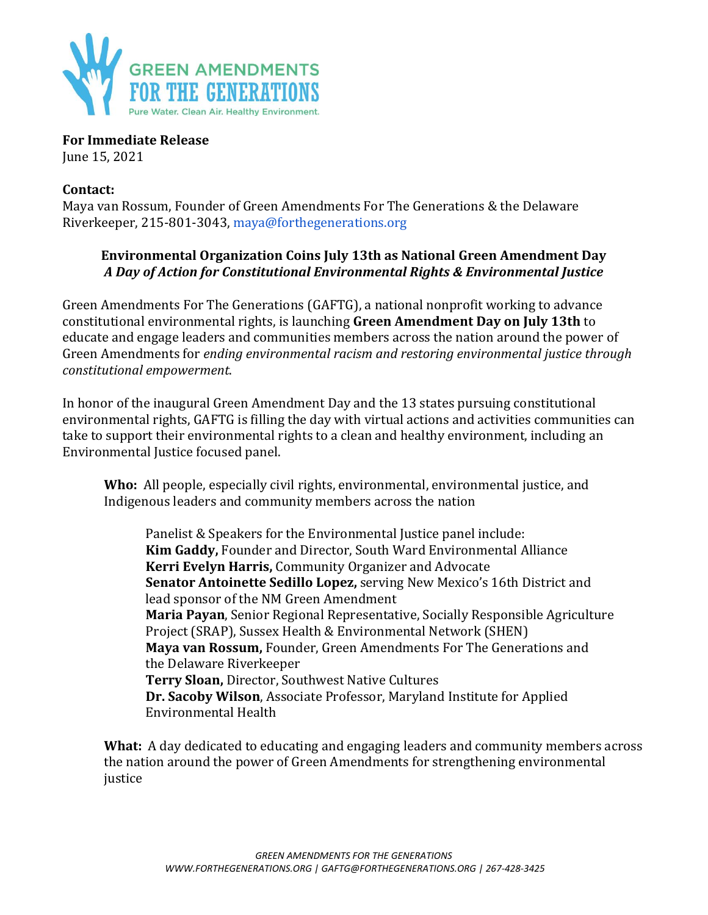

**For Immediate Release** June 15, 2021

## **Contact:**

Maya van Rossum, Founder of Green Amendments For The Generations & the Delaware Riverkeeper, 215-801-3043, maya@forthegenerations.org

## **Environmental Organization Coins July 13th as National Green Amendment Day** *A Day of Action for Constitutional Environmental Rights & Environmental Justice*

Green Amendments For The Generations (GAFTG), a national nonprofit working to advance constitutional environmental rights, is launching **Green Amendment Day on July 13th** to educate and engage leaders and communities members across the nation around the power of Green Amendments for *ending environmental racism and restoring environmental justice through constitutional empowerment*.

In honor of the inaugural Green Amendment Day and the 13 states pursuing constitutional environmental rights, GAFTG is filling the day with virtual actions and activities communities can take to support their environmental rights to a clean and healthy environment, including an Environmental Justice focused panel.

**Who:** All people, especially civil rights, environmental, environmental justice, and Indigenous leaders and community members across the nation

Panelist & Speakers for the Environmental Justice panel include: **Kim Gaddy,** Founder and Director, South Ward Environmental Alliance **Kerri Evelyn Harris,** Community Organizer and Advocate **Senator Antoinette Sedillo Lopez,** serving New Mexico's 16th District and lead sponsor of the NM Green Amendment **Maria Payan**, Senior Regional Representative, Socially Responsible Agriculture Project (SRAP), Sussex Health & Environmental Network (SHEN) **Maya van Rossum,** Founder, Green Amendments For The Generations and the Delaware Riverkeeper **Terry Sloan,** Director, Southwest Native Cultures **Dr. Sacoby Wilson**, Associate Professor, Maryland Institute for Applied Environmental Health

**What:** A day dedicated to educating and engaging leaders and community members across the nation around the power of Green Amendments for strengthening environmental justice